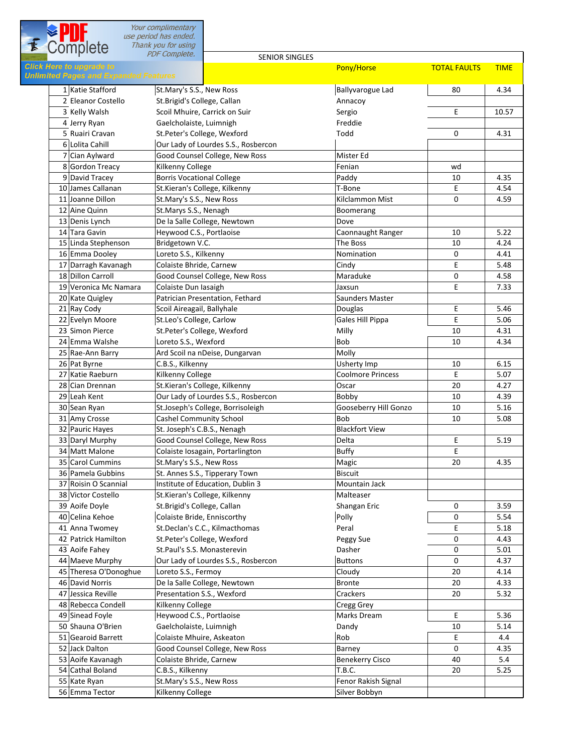|                                                                                 | Your complimentary<br>use period has ended.            |                                                                    |                          |                     |              |
|---------------------------------------------------------------------------------|--------------------------------------------------------|--------------------------------------------------------------------|--------------------------|---------------------|--------------|
| Complete                                                                        | Thank you for using                                    |                                                                    |                          |                     |              |
|                                                                                 | <b>PDF Complete.</b>                                   | <b>SENIOR SINGLES</b>                                              |                          |                     |              |
| <b>Click Here to upgrade to</b><br><b>Unlimited Pages and Expanded Features</b> |                                                        |                                                                    | Pony/Horse               | <b>TOTAL FAULTS</b> | <b>TIME</b>  |
|                                                                                 |                                                        |                                                                    |                          |                     |              |
| 1 Katie Stafford                                                                | St.Mary's S.S., New Ross                               |                                                                    | <b>Ballyvarogue Lad</b>  | 80                  | 4.34         |
| 2 Eleanor Costello                                                              | St.Brigid's College, Callan                            |                                                                    | Annacov                  |                     |              |
| 3 Kelly Walsh<br>4 Jerry Ryan                                                   |                                                        | Scoil Mhuire, Carrick on Suir                                      | Sergio<br>Freddie        | Е                   | 10.57        |
| 5 Ruairi Cravan                                                                 | Gaelcholaiste, Luimnigh<br>St.Peter's College, Wexford |                                                                    | Todd                     | 0                   | 4.31         |
| 6 Lolita Cahill                                                                 |                                                        | Our Lady of Lourdes S.S., Rosbercon                                |                          |                     |              |
| 7 Cian Aylward                                                                  |                                                        | Good Counsel College, New Ross                                     | Mister Ed                |                     |              |
| 8 Gordon Treacy                                                                 | Kilkenny College                                       |                                                                    | Fenian                   | wd                  |              |
| 9 David Tracey                                                                  | <b>Borris Vocational College</b>                       |                                                                    | Paddy                    | 10                  | 4.35         |
| 10 James Callanan                                                               |                                                        | St.Kieran's College, Kilkenny                                      | T-Bone                   | E                   | 4.54         |
| 11 Joanne Dillon                                                                | St.Mary's S.S., New Ross                               |                                                                    | Kilclammon Mist          | 0                   | 4.59         |
| 12 Aine Quinn                                                                   | St.Marys S.S., Nenagh                                  |                                                                    | Boomerang                |                     |              |
| 13 Denis Lynch                                                                  |                                                        | De la Salle College, Newtown                                       | Dove                     |                     |              |
| 14 Tara Gavin                                                                   | Heywood C.S., Portlaoise                               |                                                                    | Caonnaught Ranger        | 10                  | 5.22         |
| 15 Linda Stephenson                                                             | Bridgetown V.C.                                        |                                                                    | The Boss                 | 10                  | 4.24         |
| 16 Emma Dooley                                                                  | Loreto S.S., Kilkenny                                  |                                                                    | Nomination               | 0                   | 4.41         |
| 17 Darragh Kavanagh<br>18 Dillon Carroll                                        | Colaiste Bhride, Carnew                                | Good Counsel College, New Ross                                     | Cindy<br>Maraduke        | E<br>0              | 5.48<br>4.58 |
| 19 Veronica Mc Namara                                                           | Colaiste Dun Iasaigh                                   |                                                                    | Jaxsun                   | E                   | 7.33         |
| 20 Kate Quigley                                                                 |                                                        | Patrician Presentation, Fethard                                    | Saunders Master          |                     |              |
| 21 Ray Cody                                                                     | Scoil Aireagail, Ballyhale                             |                                                                    | Douglas                  | E                   | 5.46         |
| 22 Evelyn Moore                                                                 | St.Leo's College, Carlow                               |                                                                    | Gales Hill Pippa         | E                   | 5.06         |
| 23 Simon Pierce                                                                 | St.Peter's College, Wexford                            |                                                                    | Milly                    | 10                  | 4.31         |
| 24 Emma Walshe                                                                  | Loreto S.S., Wexford                                   |                                                                    | Bob                      | 10                  | 4.34         |
| 25 Rae-Ann Barry                                                                |                                                        | Ard Scoil na nDeise, Dungarvan                                     | Molly                    |                     |              |
| 26 Pat Byrne                                                                    | C.B.S., Kilkenny                                       |                                                                    | Usherty Imp              | 10                  | 6.15         |
| 27 Katie Raeburn                                                                | Kilkenny College                                       |                                                                    | <b>Coolmore Princess</b> | E                   | 5.07         |
| 28 Cian Drennan                                                                 |                                                        | St.Kieran's College, Kilkenny                                      | Oscar                    | 20                  | 4.27         |
| 29 Leah Kent                                                                    |                                                        | Our Lady of Lourdes S.S., Rosbercon                                | Bobby                    | 10                  | 4.39         |
| 30 Sean Ryan                                                                    |                                                        | St.Joseph's College, Borrisoleigh                                  | Gooseberry Hill Gonzo    | 10                  | 5.16         |
| 31 Amy Crosse                                                                   | Cashel Community School                                |                                                                    | Bob                      | 10                  | 5.08         |
| 32 Pauric Hayes                                                                 | St. Joseph's C.B.S., Nenagh                            |                                                                    | <b>Blackfort View</b>    |                     |              |
| 33 Daryl Murphy<br>34 Matt Malone                                               |                                                        | Good Counsel College, New Ross<br>Colaiste Iosagain, Portarlington | Delta<br><b>Buffy</b>    | E                   | 5.19         |
| 35 Carol Cummins                                                                | St.Mary's S.S., New Ross                               |                                                                    | Magic                    | Ε<br>20             | 4.35         |
| 36 Pamela Gubbins                                                               |                                                        | St. Annes S.S., Tipperary Town                                     | <b>Biscuit</b>           |                     |              |
| 37 Roisin O Scannial                                                            |                                                        | Institute of Education, Dublin 3                                   | Mountain Jack            |                     |              |
| 38 Victor Costello                                                              |                                                        | St.Kieran's College, Kilkenny                                      | Malteaser                |                     |              |
| 39 Aoife Doyle                                                                  | St.Brigid's College, Callan                            |                                                                    | Shangan Eric             | 0                   | 3.59         |
| 40 Celina Kehoe                                                                 | Colaiste Bride, Enniscorthy                            |                                                                    | Polly                    | 0                   | 5.54         |
| 41 Anna Twomey                                                                  |                                                        | St.Declan's C.C., Kilmacthomas                                     | Peral                    | E                   | 5.18         |
| 42 Patrick Hamilton                                                             | St.Peter's College, Wexford                            |                                                                    | Peggy Sue                | 0                   | 4.43         |
| 43 Aoife Fahey                                                                  | St.Paul's S.S. Monasterevin                            |                                                                    | Dasher                   | 0                   | 5.01         |
| 44 Maeve Murphy                                                                 |                                                        | Our Lady of Lourdes S.S., Rosbercon                                | <b>Buttons</b>           | 0                   | 4.37         |
| 45 Theresa O'Donoghue                                                           | Loreto S.S., Fermoy                                    |                                                                    | Cloudy                   | 20                  | 4.14         |
| 46 David Norris<br>47 Jessica Reville                                           |                                                        | De la Salle College, Newtown                                       | <b>Bronte</b>            | 20                  | 4.33         |
| 48 Rebecca Condell                                                              | Presentation S.S., Wexford<br>Kilkenny College         |                                                                    | Crackers<br>Cregg Grey   | 20                  | 5.32         |
| 49 Sinead Foyle                                                                 | Heywood C.S., Portlaoise                               |                                                                    | Marks Dream              | Ε                   | 5.36         |
| 50 Shauna O'Brien                                                               | Gaelcholaiste, Luimnigh                                |                                                                    | Dandy                    | 10                  | 5.14         |
| 51 Gearoid Barrett                                                              | Colaiste Mhuire, Askeaton                              |                                                                    | Rob                      | Ε                   | 4.4          |
| 52 Jack Dalton                                                                  |                                                        | Good Counsel College, New Ross                                     | Barney                   | 0                   | 4.35         |
| 53 Aoife Kavanagh                                                               | Colaiste Bhride, Carnew                                |                                                                    | <b>Benekerry Cisco</b>   | 40                  | 5.4          |
| 54 Cathal Boland                                                                | C.B.S., Kilkenny                                       |                                                                    | T.B.C.                   | 20                  | 5.25         |
| 55 Kate Ryan                                                                    | St.Mary's S.S., New Ross                               |                                                                    | Fenor Rakish Signal      |                     |              |
| 56 Emma Tector                                                                  | Kilkenny College                                       |                                                                    | Silver Bobbyn            |                     |              |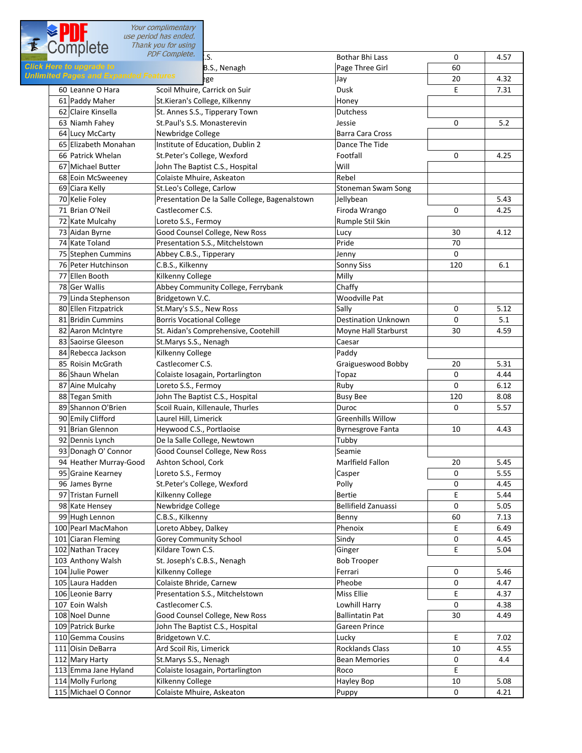Your complimentary<br>use period has ended.

| <b>E</b> Complete                    | Thank you for using                            |                            |             |      |
|--------------------------------------|------------------------------------------------|----------------------------|-------------|------|
|                                      | PDF Complete.                                  | <b>Bothar Bhi Lass</b>     | 0           | 4.57 |
| lick Here to upgrade to              | B.S., Nenagh                                   | Page Three Girl            | 60          |      |
| nlimited Pages and Expanded Features | ege                                            | Jay                        | 20          | 4.32 |
| 60 Leanne O Hara                     | Scoil Mhuire, Carrick on Suir                  | Dusk                       | E           | 7.31 |
| 61 Paddy Maher                       | St.Kieran's College, Kilkenny                  | Honey                      |             |      |
| 62 Claire Kinsella                   | St. Annes S.S., Tipperary Town                 | <b>Dutchess</b>            |             |      |
| 63 Niamh Fahey                       | St.Paul's S.S. Monasterevin                    | Jessie                     | $\mathbf 0$ | 5.2  |
| 64 Lucy McCarty                      | Newbridge College                              | <b>Barra Cara Cross</b>    |             |      |
| 65 Elizabeth Monahan                 | Institute of Education, Dublin 2               | Dance The Tide             |             |      |
| 66 Patrick Whelan                    | St.Peter's College, Wexford                    | Footfall                   | 0           | 4.25 |
| 67 Michael Butter                    | John The Baptist C.S., Hospital                | Will                       |             |      |
| 68 Eoin McSweeney                    | Colaiste Mhuire, Askeaton                      | Rebel                      |             |      |
| 69 Ciara Kelly                       | St.Leo's College, Carlow                       | Stoneman Swam Song         |             |      |
| 70 Kelie Foley                       | Presentation De la Salle College, Bagenalstown | Jellybean                  |             | 5.43 |
| 71 Brian O'Neil                      | Castlecomer C.S.                               | Firoda Wrango              | 0           | 4.25 |
| 72 Kate Mulcahy                      | Loreto S.S., Fermoy                            | Rumple Stil Skin           |             |      |
|                                      | Good Counsel College, New Ross                 |                            | 30          | 4.12 |
| 73 Aidan Byrne                       |                                                | Lucy<br>Pride              |             |      |
| 74 Kate Toland                       | Presentation S.S., Mitchelstown                |                            | 70          |      |
| 75 Stephen Cummins                   | Abbey C.B.S., Tipperary                        | Jenny                      | 0           |      |
| 76 Peter Hutchinson                  | C.B.S., Kilkenny                               | <b>Sonny Siss</b>          | 120         | 6.1  |
| 77 Ellen Booth                       | Kilkenny College                               | Milly                      |             |      |
| 78 Ger Wallis                        | Abbey Community College, Ferrybank             | Chaffy                     |             |      |
| 79 Linda Stephenson                  | Bridgetown V.C.                                | <b>Woodville Pat</b>       |             |      |
| 80 Ellen Fitzpatrick                 | St.Mary's S.S., New Ross                       | Sally                      | 0           | 5.12 |
| 81 Bridin Cummins                    | <b>Borris Vocational College</b>               | <b>Destination Unknown</b> | 0           | 5.1  |
| 82 Aaron McIntyre                    | St. Aidan's Comprehensive, Cootehill           | Moyne Hall Starburst       | 30          | 4.59 |
| 83 Saoirse Gleeson                   | St.Marys S.S., Nenagh                          | Caesar                     |             |      |
| 84 Rebecca Jackson                   | Kilkenny College                               | Paddy                      |             |      |
| 85 Roisin McGrath                    | Castlecomer C.S.                               | Graigueswood Bobby         | 20          | 5.31 |
| 86 Shaun Whelan                      | Colaiste Iosagain, Portarlington               | Topaz                      | 0           | 4.44 |
| 87 Aine Mulcahy                      | Loreto S.S., Fermoy                            | Ruby                       | $\Omega$    | 6.12 |
| 88 Tegan Smith                       | John The Baptist C.S., Hospital                | <b>Busy Bee</b>            | 120         | 8.08 |
| 89 Shannon O'Brien                   | Scoil Ruain, Killenaule, Thurles               | Duroc                      | $\mathbf 0$ | 5.57 |
| 90 Emily Clifford                    | Laurel Hill, Limerick                          | <b>Greenhills Willow</b>   |             |      |
| 91 Brian Glennon                     | Heywood C.S., Portlaoise                       | <b>Byrnesgrove Fanta</b>   | 10          | 4.43 |
| 92 Dennis Lynch                      | De la Salle College, Newtown                   | Tubby                      |             |      |
| 93 Donagh O' Connor                  | Good Counsel College, New Ross                 | Seamie                     |             |      |
| 94 Heather Murray-Good               | Ashton School, Cork                            | <b>Marlfield Fallon</b>    | 20          | 5.45 |
| 95 Graine Kearney                    | Loreto S.S., Fermoy                            | Casper                     | 0           | 5.55 |
| 96 James Byrne                       | St.Peter's College, Wexford                    | Polly                      | 0           | 4.45 |
| 97 Tristan Furnell                   | Kilkenny College                               | <b>Bertie</b>              | Е           | 5.44 |
| 98 Kate Hensey                       | Newbridge College                              | <b>Bellifield Zanuassi</b> | 0           | 5.05 |
| 99 Hugh Lennon                       | C.B.S., Kilkenny                               |                            | 60          | 7.13 |
| 100 Pearl MacMahon                   | Loreto Abbey, Dalkey                           | Benny<br>Phenoix           | E           | 6.49 |
| 101 Ciaran Fleming                   | Gorey Community School                         | Sindy                      | 0           | 4.45 |
|                                      |                                                |                            |             |      |
| 102 Nathan Tracey                    | Kildare Town C.S.                              | Ginger                     | E           | 5.04 |
| 103 Anthony Walsh                    | St. Joseph's C.B.S., Nenagh                    | <b>Bob Trooper</b>         |             |      |
| 104 Julie Power                      | Kilkenny College                               | Ferrari                    | 0           | 5.46 |
| 105 Laura Hadden                     | Colaiste Bhride, Carnew                        | Pheobe                     | 0           | 4.47 |
| 106 Leonie Barry                     | Presentation S.S., Mitchelstown                | Miss Ellie                 | Ε           | 4.37 |
| 107 Eoin Walsh                       | Castlecomer C.S.                               | Lowhill Harry              | 0           | 4.38 |
| 108 Noel Dunne                       | Good Counsel College, New Ross                 | <b>Ballintatin Pat</b>     | 30          | 4.49 |
| 109 Patrick Burke                    | John The Baptist C.S., Hospital                | Gareen Prince              |             |      |
| 110 Gemma Cousins                    | Bridgetown V.C.                                | Lucky                      | E           | 7.02 |
| 111 Oisin DeBarra                    | Ard Scoil Ris, Limerick                        | <b>Rocklands Class</b>     | 10          | 4.55 |
| 112 Mary Harty                       | St.Marys S.S., Nenagh                          | <b>Bean Memories</b>       | 0           | 4.4  |
| 113 Emma Jane Hyland                 | Colaiste Iosagain, Portarlington               | Roco                       | E           |      |
| 114 Molly Furlong                    | Kilkenny College                               | Hayley Bop                 | 10          | 5.08 |
| 115 Michael O Connor                 | Colaiste Mhuire, Askeaton                      | Puppy                      | 0           | 4.21 |
|                                      |                                                |                            |             |      |